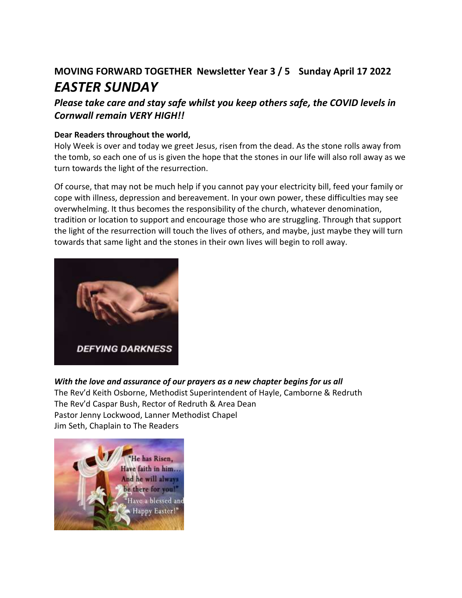## **MOVING FORWARD TOGETHER Newsletter Year 3 / 5 Sunday April 17 2022** *EASTER SUNDAY*

## *Please take care and stay safe whilst you keep others safe, the COVID levels in Cornwall remain VERY HIGH!!*

#### **Dear Readers throughout the world,**

Holy Week is over and today we greet Jesus, risen from the dead. As the stone rolls away from the tomb, so each one of us is given the hope that the stones in our life will also roll away as we turn towards the light of the resurrection.

Of course, that may not be much help if you cannot pay your electricity bill, feed your family or cope with illness, depression and bereavement. In your own power, these difficulties may see overwhelming. It thus becomes the responsibility of the church, whatever denomination, tradition or location to support and encourage those who are struggling. Through that support the light of the resurrection will touch the lives of others, and maybe, just maybe they will turn towards that same light and the stones in their own lives will begin to roll away.



#### *With the love and assurance of our prayers as a new chapter begins for us all*

The Rev'd Keith Osborne, Methodist Superintendent of Hayle, Camborne & Redruth The Rev'd Caspar Bush, Rector of Redruth & Area Dean Pastor Jenny Lockwood, Lanner Methodist Chapel Jim Seth, Chaplain to The Readers

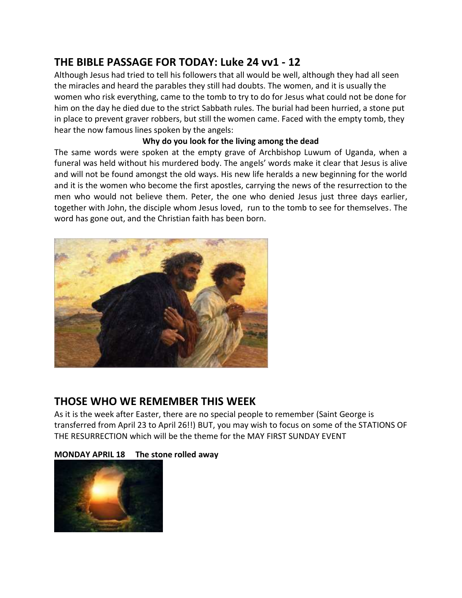## **THE BIBLE PASSAGE FOR TODAY: Luke 24 vv1 - 12**

Although Jesus had tried to tell his followers that all would be well, although they had all seen the miracles and heard the parables they still had doubts. The women, and it is usually the women who risk everything, came to the tomb to try to do for Jesus what could not be done for him on the day he died due to the strict Sabbath rules. The burial had been hurried, a stone put in place to prevent graver robbers, but still the women came. Faced with the empty tomb, they hear the now famous lines spoken by the angels:

#### **Why do you look for the living among the dead**

The same words were spoken at the empty grave of Archbishop Luwum of Uganda, when a funeral was held without his murdered body. The angels' words make it clear that Jesus is alive and will not be found amongst the old ways. His new life heralds a new beginning for the world and it is the women who become the first apostles, carrying the news of the resurrection to the men who would not believe them. Peter, the one who denied Jesus just three days earlier, together with John, the disciple whom Jesus loved, run to the tomb to see for themselves. The word has gone out, and the Christian faith has been born.



## **THOSE WHO WE REMEMBER THIS WEEK**

As it is the week after Easter, there are no special people to remember (Saint George is transferred from April 23 to April 26!!) BUT, you may wish to focus on some of the STATIONS OF THE RESURRECTION which will be the theme for the MAY FIRST SUNDAY EVENT

#### **MONDAY APRIL 18 The stone rolled away**

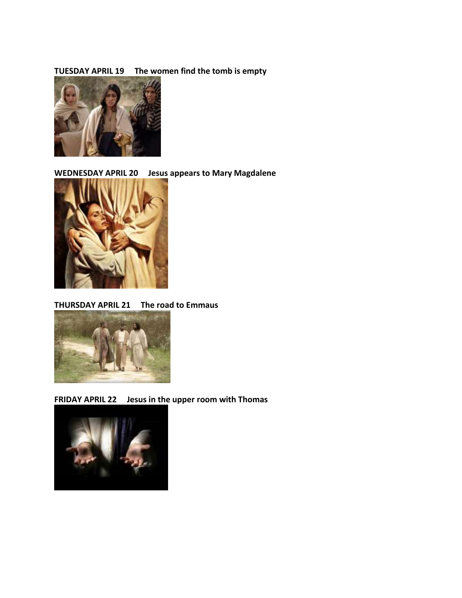#### **TUESDAY APRIL 19 The women find the tomb is empty**



**WEDNESDAY APRIL 20 Jesus appears to Mary Magdalene**



#### **THURSDAY APRIL 21 The road to Emmaus**



**FRIDAY APRIL 22 Jesus in the upper room with Thomas**

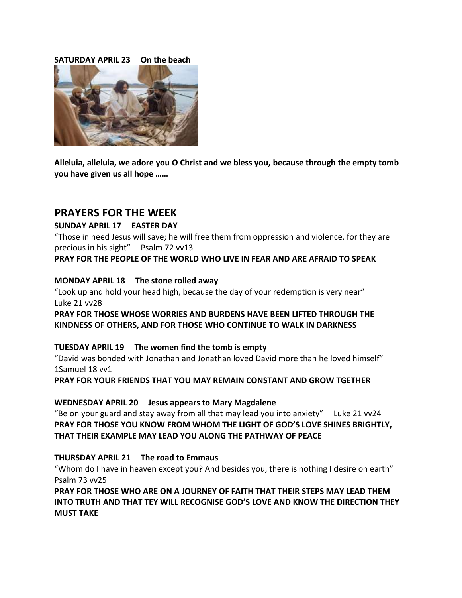#### **SATURDAY APRIL 23 On the beach**



**Alleluia, alleluia, we adore you O Christ and we bless you, because through the empty tomb you have given us all hope ……**

#### **PRAYERS FOR THE WEEK**

#### **SUNDAY APRIL 17 EASTER DAY**

"Those in need Jesus will save; he will free them from oppression and violence, for they are precious in his sight" Psalm 72 vv13

#### **PRAY FOR THE PEOPLE OF THE WORLD WHO LIVE IN FEAR AND ARE AFRAID TO SPEAK**

#### **MONDAY APRIL 18 The stone rolled away**

"Look up and hold your head high, because the day of your redemption is very near" Luke 21 vv28

**PRAY FOR THOSE WHOSE WORRIES AND BURDENS HAVE BEEN LIFTED THROUGH THE KINDNESS OF OTHERS, AND FOR THOSE WHO CONTINUE TO WALK IN DARKNESS**

#### **TUESDAY APRIL 19 The women find the tomb is empty**

"David was bonded with Jonathan and Jonathan loved David more than he loved himself" 1Samuel 18 vv1

**PRAY FOR YOUR FRIENDS THAT YOU MAY REMAIN CONSTANT AND GROW TGETHER**

#### **WEDNESDAY APRIL 20 Jesus appears to Mary Magdalene**

"Be on your guard and stay away from all that may lead you into anxiety" Luke 21 vv24 **PRAY FOR THOSE YOU KNOW FROM WHOM THE LIGHT OF GOD'S LOVE SHINES BRIGHTLY, THAT THEIR EXAMPLE MAY LEAD YOU ALONG THE PATHWAY OF PEACE**

#### **THURSDAY APRIL 21 The road to Emmaus**

"Whom do I have in heaven except you? And besides you, there is nothing I desire on earth" Psalm 73 vv25

**PRAY FOR THOSE WHO ARE ON A JOURNEY OF FAITH THAT THEIR STEPS MAY LEAD THEM INTO TRUTH AND THAT TEY WILL RECOGNISE GOD'S LOVE AND KNOW THE DIRECTION THEY MUST TAKE**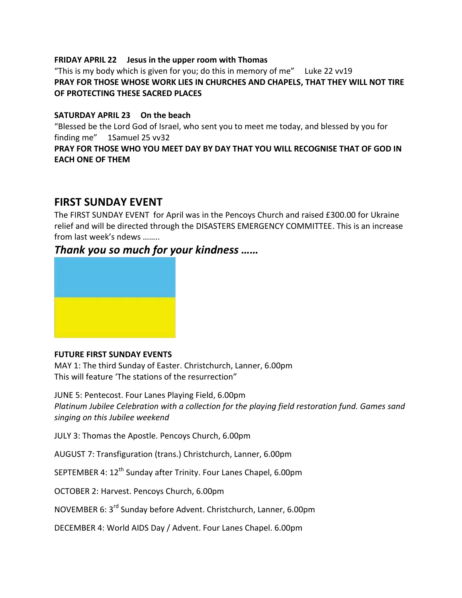#### **FRIDAY APRIL 22 Jesus in the upper room with Thomas**

"This is my body which is given for you; do this in memory of me" Luke 22 vv19 **PRAY FOR THOSE WHOSE WORK LIES IN CHURCHES AND CHAPELS, THAT THEY WILL NOT TIRE OF PROTECTING THESE SACRED PLACES**

#### **SATURDAY APRIL 23 On the beach**

"Blessed be the Lord God of Israel, who sent you to meet me today, and blessed by you for finding me"1Samuel 25 vv32

#### **PRAY FOR THOSE WHO YOU MEET DAY BY DAY THAT YOU WILL RECOGNISE THAT OF GOD IN EACH ONE OF THEM**

## **FIRST SUNDAY EVENT**

The FIRST SUNDAY EVENT for April was in the Pencoys Church and raised £300.00 for Ukraine relief and will be directed through the DISASTERS EMERGENCY COMMITTEE. This is an increase from last week's ndews ……..

## *Thank you so much for your kindness ……*



#### **FUTURE FIRST SUNDAY EVENTS**

MAY 1: The third Sunday of Easter. Christchurch, Lanner, 6.00pm This will feature 'The stations of the resurrection"

JUNE 5: Pentecost. Four Lanes Playing Field, 6.00pm *Platinum Jubilee Celebration with a collection for the playing field restoration fund. Games sand singing on this Jubilee weekend*

JULY 3: Thomas the Apostle. Pencoys Church, 6.00pm

AUGUST 7: Transfiguration (trans.) Christchurch, Lanner, 6.00pm

SEPTEMBER 4: 12<sup>th</sup> Sunday after Trinity. Four Lanes Chapel, 6.00pm

OCTOBER 2: Harvest. Pencoys Church, 6.00pm

NOVEMBER 6: 3<sup>rd</sup> Sunday before Advent. Christchurch, Lanner, 6.00pm

DECEMBER 4: World AIDS Day / Advent. Four Lanes Chapel. 6.00pm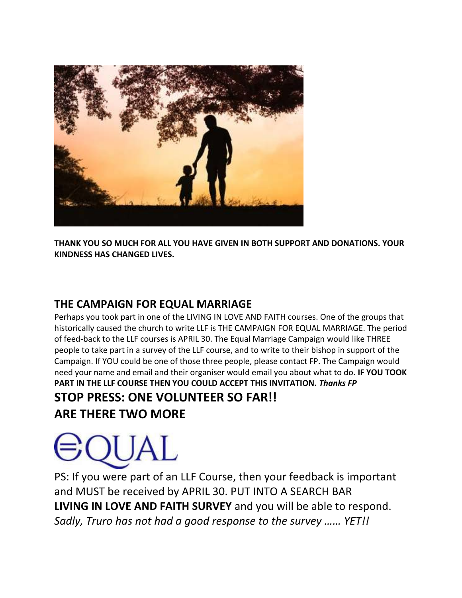

**THANK YOU SO MUCH FOR ALL YOU HAVE GIVEN IN BOTH SUPPORT AND DONATIONS. YOUR KINDNESS HAS CHANGED LIVES.** 

## **THE CAMPAIGN FOR EQUAL MARRIAGE**

Perhaps you took part in one of the LIVING IN LOVE AND FAITH courses. One of the groups that historically caused the church to write LLF is THE CAMPAIGN FOR EQUAL MARRIAGE. The period of feed-back to the LLF courses is APRIL 30. The Equal Marriage Campaign would like THREE people to take part in a survey of the LLF course, and to write to their bishop in support of the Campaign. If YOU could be one of those three people, please contact FP. The Campaign would need your name and email and their organiser would email you about what to do. **IF YOU TOOK PART IN THE LLF COURSE THEN YOU COULD ACCEPT THIS INVITATION.** *Thanks FP* **STOP PRESS: ONE VOLUNTEER SO FAR!!**

**ARE THERE TWO MORE**

# ILIAL.

PS: If you were part of an LLF Course, then your feedback is important and MUST be received by APRIL 30. PUT INTO A SEARCH BAR **LIVING IN LOVE AND FAITH SURVEY** and you will be able to respond. *Sadly, Truro has not had a good response to the survey …… YET!!*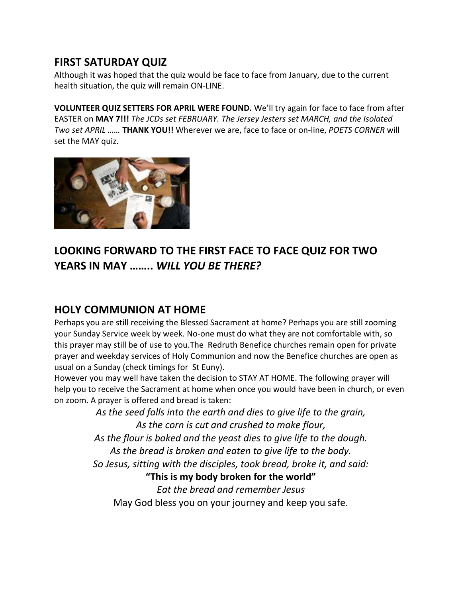## **FIRST SATURDAY QUIZ**

Although it was hoped that the quiz would be face to face from January, due to the current health situation, the quiz will remain ON-LINE.

**VOLUNTEER QUIZ SETTERS FOR APRIL WERE FOUND.** We'll try again for face to face from after EASTER on **MAY 7!!!** *The JCDs set FEBRUARY. The Jersey Jesters set MARCH, and the Isolated Two set APRIL ……* **THANK YOU!!** Wherever we are, face to face or on-line, *POETS CORNER* will set the MAY quiz.



## **LOOKING FORWARD TO THE FIRST FACE TO FACE QUIZ FOR TWO YEARS IN MAY ……..** *WILL YOU BE THERE?*

## **HOLY COMMUNION AT HOME**

Perhaps you are still receiving the Blessed Sacrament at home? Perhaps you are still zooming your Sunday Service week by week. No-one must do what they are not comfortable with, so this prayer may still be of use to you.The Redruth Benefice churches remain open for private prayer and weekday services of Holy Communion and now the Benefice churches are open as usual on a Sunday (check timings for St Euny).

However you may well have taken the decision to STAY AT HOME. The following prayer will help you to receive the Sacrament at home when once you would have been in church, or even on zoom. A prayer is offered and bread is taken:

> *As the seed falls into the earth and dies to give life to the grain, As the corn is cut and crushed to make flour, As the flour is baked and the yeast dies to give life to the dough. As the bread is broken and eaten to give life to the body. So Jesus, sitting with the disciples, took bread, broke it, and said:* **"This is my body broken for the world"** *Eat the bread and remember Jesus*

May God bless you on your journey and keep you safe.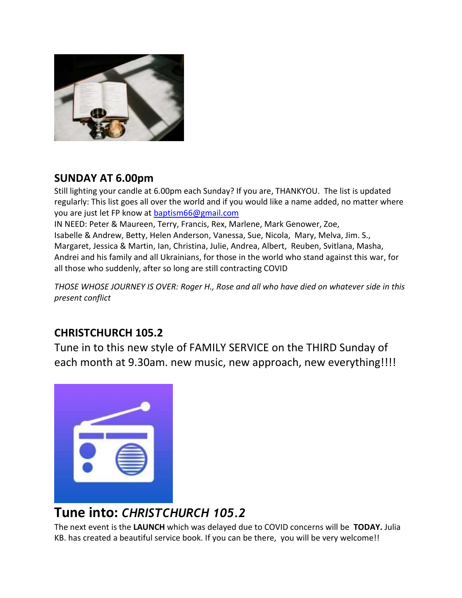

## **SUNDAY AT 6.00pm**

Still lighting your candle at 6.00pm each Sunday? If you are, THANKYOU. The list is updated regularly: This list goes all over the world and if you would like a name added, no matter where you are just let FP know at [baptism66@gmail.com](mailto:baptism66@gmail.com)

IN NEED: Peter & Maureen, Terry, Francis, Rex, Marlene, Mark Genower, Zoe, Isabelle & Andrew, Betty, Helen Anderson, Vanessa, Sue, Nicola, Mary, Melva, Jim. S., Margaret, Jessica & Martin, Ian, Christina, Julie, Andrea, Albert, Reuben, Svitlana, Masha, Andrei and his family and all Ukrainians, for those in the world who stand against this war, for all those who suddenly, after so long are still contracting COVID

*THOSE WHOSE JOURNEY IS OVER: Roger H., Rose and all who have died on whatever side in this present conflict*

## **CHRISTCHURCH 105.2**

Tune in to this new style of FAMILY SERVICE on the THIRD Sunday of each month at 9.30am. new music, new approach, new everything!!!!



# **Tune into:** *CHRISTCHURCH 105.2*

The next event is the **LAUNCH** which was delayed due to COVID concerns will be **TODAY.** Julia KB. has created a beautiful service book. If you can be there, you will be very welcome!!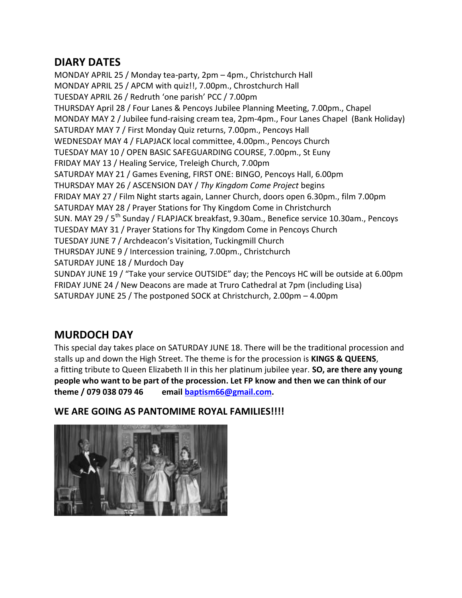## **DIARY DATES**

MONDAY APRIL 25 / Monday tea-party, 2pm – 4pm., Christchurch Hall MONDAY APRIL 25 / APCM with quiz!!, 7.00pm., Chrostchurch Hall TUESDAY APRIL 26 / Redruth 'one parish' PCC / 7.00pm THURSDAY April 28 / Four Lanes & Pencoys Jubilee Planning Meeting, 7.00pm., Chapel MONDAY MAY 2 / Jubilee fund-raising cream tea, 2pm-4pm., Four Lanes Chapel (Bank Holiday) SATURDAY MAY 7 / First Monday Quiz returns, 7.00pm., Pencoys Hall WEDNESDAY MAY 4 / FLAPJACK local committee, 4.00pm., Pencoys Church TUESDAY MAY 10 / OPEN BASIC SAFEGUARDING COURSE, 7.00pm., St Euny FRIDAY MAY 13 / Healing Service, Treleigh Church, 7.00pm SATURDAY MAY 21 / Games Evening, FIRST ONE: BINGO, Pencoys Hall, 6.00pm THURSDAY MAY 26 / ASCENSION DAY / *Thy Kingdom Come Project* begins FRIDAY MAY 27 / Film Night starts again, Lanner Church, doors open 6.30pm., film 7.00pm SATURDAY MAY 28 / Prayer Stations for Thy Kingdom Come in Christchurch SUN. MAY 29 / 5<sup>th</sup> Sunday / FLAPJACK breakfast, 9.30am., Benefice service 10.30am., Pencoys TUESDAY MAY 31 / Prayer Stations for Thy Kingdom Come in Pencoys Church TUESDAY JUNE 7 / Archdeacon's Visitation, Tuckingmill Church THURSDAY JUNE 9 / Intercession training, 7.00pm., Christchurch SATURDAY JUNE 18 / Murdoch Day SUNDAY JUNE 19 / "Take your service OUTSIDE" day; the Pencoys HC will be outside at 6.00pm FRIDAY JUNE 24 / New Deacons are made at Truro Cathedral at 7pm (including Lisa) SATURDAY JUNE 25 / The postponed SOCK at Christchurch, 2.00pm – 4.00pm

## **MURDOCH DAY**

This special day takes place on SATURDAY JUNE 18. There will be the traditional procession and stalls up and down the High Street. The theme is for the procession is **KINGS & QUEENS**, a fitting tribute to Queen Elizabeth II in this her platinum jubilee year. **SO, are there any young people who want to be part of the procession. Let FP know and then we can think of our theme / 079 038 079 46 email [baptism66@gmail.com.](mailto:baptism66@gmail.com)**

#### **WE ARE GOING AS PANTOMIME ROYAL FAMILIES!!!!**